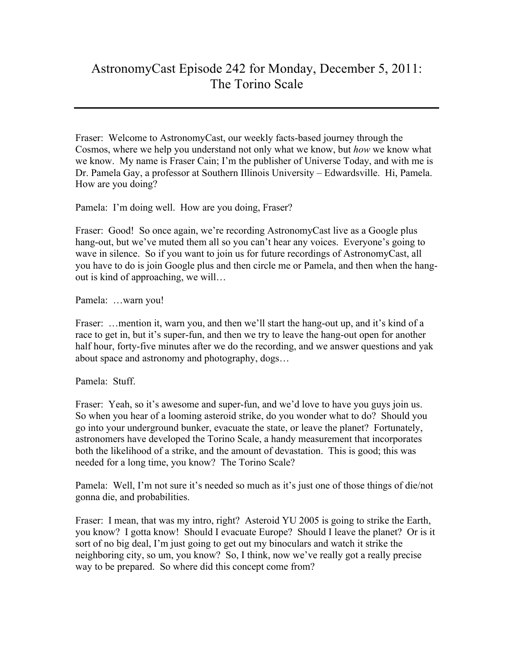## AstronomyCast Episode 242 for Monday, December 5, 2011: The Torino Scale

Fraser: Welcome to AstronomyCast, our weekly facts-based journey through the Cosmos, where we help you understand not only what we know, but *how* we know what we know. My name is Fraser Cain; I'm the publisher of Universe Today, and with me is Dr. Pamela Gay, a professor at Southern Illinois University – Edwardsville. Hi, Pamela. How are you doing?

Pamela: I'm doing well. How are you doing, Fraser?

Fraser: Good! So once again, we're recording AstronomyCast live as a Google plus hang-out, but we've muted them all so you can't hear any voices. Everyone's going to wave in silence. So if you want to join us for future recordings of AstronomyCast, all you have to do is join Google plus and then circle me or Pamela, and then when the hangout is kind of approaching, we will…

Pamela: …warn you!

Fraser: ... mention it, warn you, and then we'll start the hang-out up, and it's kind of a race to get in, but it's super-fun, and then we try to leave the hang-out open for another half hour, forty-five minutes after we do the recording, and we answer questions and yak about space and astronomy and photography, dogs…

Pamela: Stuff.

Fraser: Yeah, so it's awesome and super-fun, and we'd love to have you guys join us. So when you hear of a looming asteroid strike, do you wonder what to do? Should you go into your underground bunker, evacuate the state, or leave the planet? Fortunately, astronomers have developed the Torino Scale, a handy measurement that incorporates both the likelihood of a strike, and the amount of devastation. This is good; this was needed for a long time, you know? The Torino Scale?

Pamela: Well, I'm not sure it's needed so much as it's just one of those things of die/not gonna die, and probabilities.

Fraser: I mean, that was my intro, right? Asteroid YU 2005 is going to strike the Earth, you know? I gotta know! Should I evacuate Europe? Should I leave the planet? Or is it sort of no big deal, I'm just going to get out my binoculars and watch it strike the neighboring city, so um, you know? So, I think, now we've really got a really precise way to be prepared. So where did this concept come from?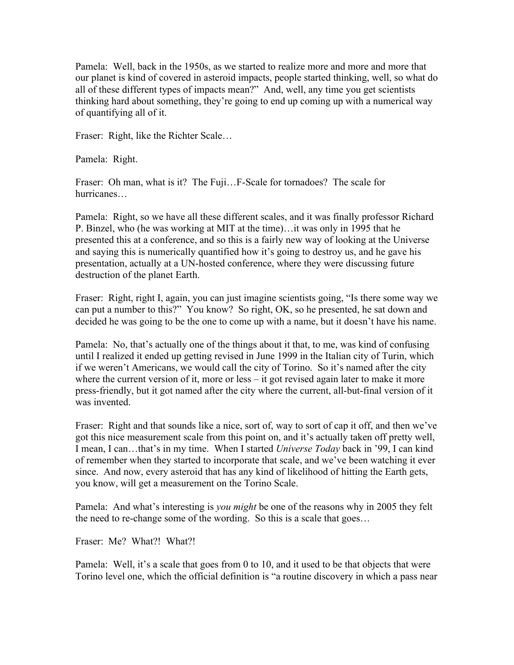Pamela: Well, back in the 1950s, as we started to realize more and more and more that our planet is kind of covered in asteroid impacts, people started thinking, well, so what do all of these different types of impacts mean?" And, well, any time you get scientists thinking hard about something, they're going to end up coming up with a numerical way of quantifying all of it.

Fraser: Right, like the Richter Scale…

Pamela: Right.

Fraser: Oh man, what is it? The Fuji...F-Scale for tornadoes? The scale for hurricanes…

Pamela: Right, so we have all these different scales, and it was finally professor Richard P. Binzel, who (he was working at MIT at the time)…it was only in 1995 that he presented this at a conference, and so this is a fairly new way of looking at the Universe and saying this is numerically quantified how it's going to destroy us, and he gave his presentation, actually at a UN-hosted conference, where they were discussing future destruction of the planet Earth.

Fraser: Right, right I, again, you can just imagine scientists going, "Is there some way we can put a number to this?" You know? So right, OK, so he presented, he sat down and decided he was going to be the one to come up with a name, but it doesn't have his name.

Pamela: No, that's actually one of the things about it that, to me, was kind of confusing until I realized it ended up getting revised in June 1999 in the Italian city of Turin, which if we weren't Americans, we would call the city of Torino. So it's named after the city where the current version of it, more or less – it got revised again later to make it more press-friendly, but it got named after the city where the current, all-but-final version of it was invented.

Fraser: Right and that sounds like a nice, sort of, way to sort of cap it off, and then we've got this nice measurement scale from this point on, and it's actually taken off pretty well, I mean, I can…that's in my time. When I started *Universe Today* back in '99, I can kind of remember when they started to incorporate that scale, and we've been watching it ever since. And now, every asteroid that has any kind of likelihood of hitting the Earth gets, you know, will get a measurement on the Torino Scale.

Pamela: And what's interesting is *you might* be one of the reasons why in 2005 they felt the need to re-change some of the wording. So this is a scale that goes…

Fraser: Me? What?! What?!

Pamela: Well, it's a scale that goes from 0 to 10, and it used to be that objects that were Torino level one, which the official definition is "a routine discovery in which a pass near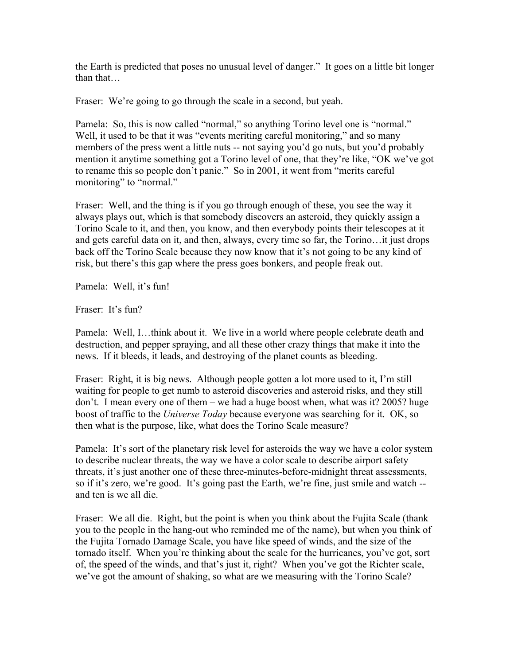the Earth is predicted that poses no unusual level of danger." It goes on a little bit longer than that…

Fraser: We're going to go through the scale in a second, but yeah.

Pamela: So, this is now called "normal," so anything Torino level one is "normal." Well, it used to be that it was "events meriting careful monitoring," and so many members of the press went a little nuts -- not saying you'd go nuts, but you'd probably mention it anytime something got a Torino level of one, that they're like, "OK we've got to rename this so people don't panic." So in 2001, it went from "merits careful monitoring" to "normal."

Fraser: Well, and the thing is if you go through enough of these, you see the way it always plays out, which is that somebody discovers an asteroid, they quickly assign a Torino Scale to it, and then, you know, and then everybody points their telescopes at it and gets careful data on it, and then, always, every time so far, the Torino…it just drops back off the Torino Scale because they now know that it's not going to be any kind of risk, but there's this gap where the press goes bonkers, and people freak out.

Pamela: Well, it's fun!

Fraser: It's fun?

Pamela: Well, I…think about it. We live in a world where people celebrate death and destruction, and pepper spraying, and all these other crazy things that make it into the news. If it bleeds, it leads, and destroying of the planet counts as bleeding.

Fraser: Right, it is big news. Although people gotten a lot more used to it, I'm still waiting for people to get numb to asteroid discoveries and asteroid risks, and they still don't. I mean every one of them – we had a huge boost when, what was it? 2005? huge boost of traffic to the *Universe Today* because everyone was searching for it. OK, so then what is the purpose, like, what does the Torino Scale measure?

Pamela: It's sort of the planetary risk level for asteroids the way we have a color system to describe nuclear threats, the way we have a color scale to describe airport safety threats, it's just another one of these three-minutes-before-midnight threat assessments, so if it's zero, we're good. It's going past the Earth, we're fine, just smile and watch - and ten is we all die.

Fraser: We all die. Right, but the point is when you think about the Fujita Scale (thank you to the people in the hang-out who reminded me of the name), but when you think of the Fujita Tornado Damage Scale, you have like speed of winds, and the size of the tornado itself. When you're thinking about the scale for the hurricanes, you've got, sort of, the speed of the winds, and that's just it, right? When you've got the Richter scale, we've got the amount of shaking, so what are we measuring with the Torino Scale?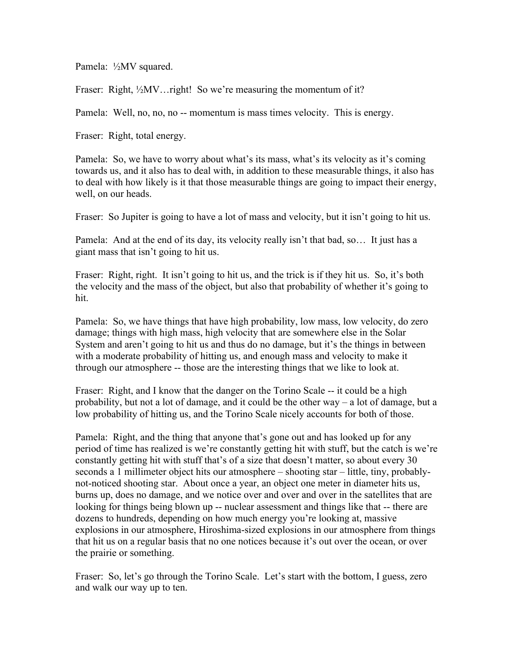Pamela: ½MV squared.

Fraser: Right, ½MV... right! So we're measuring the momentum of it?

Pamela: Well, no, no, no -- momentum is mass times velocity. This is energy.

Fraser: Right, total energy.

Pamela: So, we have to worry about what's its mass, what's its velocity as it's coming towards us, and it also has to deal with, in addition to these measurable things, it also has to deal with how likely is it that those measurable things are going to impact their energy, well, on our heads.

Fraser: So Jupiter is going to have a lot of mass and velocity, but it isn't going to hit us.

Pamela: And at the end of its day, its velocity really isn't that bad, so… It just has a giant mass that isn't going to hit us.

Fraser: Right, right. It isn't going to hit us, and the trick is if they hit us. So, it's both the velocity and the mass of the object, but also that probability of whether it's going to hit.

Pamela: So, we have things that have high probability, low mass, low velocity, do zero damage; things with high mass, high velocity that are somewhere else in the Solar System and aren't going to hit us and thus do no damage, but it's the things in between with a moderate probability of hitting us, and enough mass and velocity to make it through our atmosphere -- those are the interesting things that we like to look at.

Fraser: Right, and I know that the danger on the Torino Scale -- it could be a high probability, but not a lot of damage, and it could be the other way – a lot of damage, but a low probability of hitting us, and the Torino Scale nicely accounts for both of those.

Pamela: Right, and the thing that anyone that's gone out and has looked up for any period of time has realized is we're constantly getting hit with stuff, but the catch is we're constantly getting hit with stuff that's of a size that doesn't matter, so about every 30 seconds a 1 millimeter object hits our atmosphere – shooting star – little, tiny, probablynot-noticed shooting star. About once a year, an object one meter in diameter hits us, burns up, does no damage, and we notice over and over and over in the satellites that are looking for things being blown up -- nuclear assessment and things like that -- there are dozens to hundreds, depending on how much energy you're looking at, massive explosions in our atmosphere, Hiroshima-sized explosions in our atmosphere from things that hit us on a regular basis that no one notices because it's out over the ocean, or over the prairie or something.

Fraser: So, let's go through the Torino Scale. Let's start with the bottom, I guess, zero and walk our way up to ten.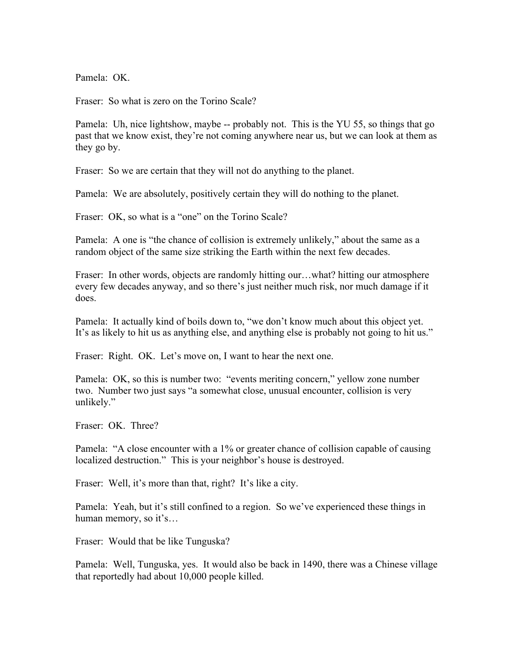Pamela: OK

Fraser: So what is zero on the Torino Scale?

Pamela: Uh, nice lightshow, maybe -- probably not. This is the YU 55, so things that go past that we know exist, they're not coming anywhere near us, but we can look at them as they go by.

Fraser: So we are certain that they will not do anything to the planet.

Pamela: We are absolutely, positively certain they will do nothing to the planet.

Fraser: OK, so what is a "one" on the Torino Scale?

Pamela: A one is "the chance of collision is extremely unlikely," about the same as a random object of the same size striking the Earth within the next few decades.

Fraser: In other words, objects are randomly hitting our...what? hitting our atmosphere every few decades anyway, and so there's just neither much risk, nor much damage if it does.

Pamela: It actually kind of boils down to, "we don't know much about this object yet. It's as likely to hit us as anything else, and anything else is probably not going to hit us."

Fraser: Right. OK. Let's move on, I want to hear the next one.

Pamela: OK, so this is number two: "events meriting concern," yellow zone number two. Number two just says "a somewhat close, unusual encounter, collision is very unlikely."

Fraser: OK. Three?

Pamela: "A close encounter with a 1% or greater chance of collision capable of causing localized destruction." This is your neighbor's house is destroyed.

Fraser: Well, it's more than that, right? It's like a city.

Pamela: Yeah, but it's still confined to a region. So we've experienced these things in human memory, so it's…

Fraser: Would that be like Tunguska?

Pamela: Well, Tunguska, yes. It would also be back in 1490, there was a Chinese village that reportedly had about 10,000 people killed.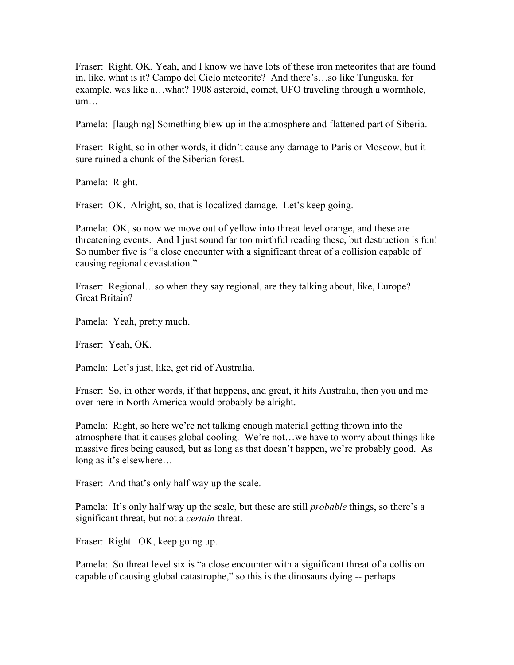Fraser: Right, OK. Yeah, and I know we have lots of these iron meteorites that are found in, like, what is it? Campo del Cielo meteorite? And there's…so like Tunguska. for example. was like a…what? 1908 asteroid, comet, UFO traveling through a wormhole, um…

Pamela: [laughing] Something blew up in the atmosphere and flattened part of Siberia.

Fraser: Right, so in other words, it didn't cause any damage to Paris or Moscow, but it sure ruined a chunk of the Siberian forest.

Pamela: Right.

Fraser: OK. Alright, so, that is localized damage. Let's keep going.

Pamela: OK, so now we move out of yellow into threat level orange, and these are threatening events. And I just sound far too mirthful reading these, but destruction is fun! So number five is "a close encounter with a significant threat of a collision capable of causing regional devastation."

Fraser: Regional...so when they say regional, are they talking about, like, Europe? Great Britain?

Pamela: Yeah, pretty much.

Fraser: Yeah, OK.

Pamela: Let's just, like, get rid of Australia.

Fraser: So, in other words, if that happens, and great, it hits Australia, then you and me over here in North America would probably be alright.

Pamela: Right, so here we're not talking enough material getting thrown into the atmosphere that it causes global cooling. We're not…we have to worry about things like massive fires being caused, but as long as that doesn't happen, we're probably good. As long as it's elsewhere…

Fraser: And that's only half way up the scale.

Pamela: It's only half way up the scale, but these are still *probable* things, so there's a significant threat, but not a *certain* threat.

Fraser: Right. OK, keep going up.

Pamela: So threat level six is "a close encounter with a significant threat of a collision capable of causing global catastrophe," so this is the dinosaurs dying -- perhaps.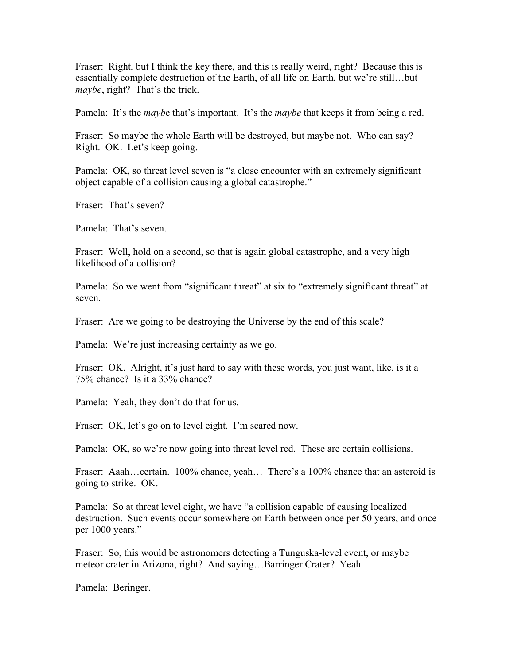Fraser: Right, but I think the key there, and this is really weird, right? Because this is essentially complete destruction of the Earth, of all life on Earth, but we're still…but *maybe*, right? That's the trick.

Pamela: It's the *mayb*e that's important. It's the *maybe* that keeps it from being a red.

Fraser: So maybe the whole Earth will be destroyed, but maybe not. Who can say? Right. OK. Let's keep going.

Pamela: OK, so threat level seven is "a close encounter with an extremely significant object capable of a collision causing a global catastrophe."

Fraser: That's seven?

Pamela: That's seven.

Fraser: Well, hold on a second, so that is again global catastrophe, and a very high likelihood of a collision?

Pamela: So we went from "significant threat" at six to "extremely significant threat" at seven.

Fraser: Are we going to be destroving the Universe by the end of this scale?

Pamela: We're just increasing certainty as we go.

Fraser: OK. Alright, it's just hard to say with these words, you just want, like, is it a 75% chance? Is it a 33% chance?

Pamela: Yeah, they don't do that for us.

Fraser: OK, let's go on to level eight. I'm scared now.

Pamela: OK, so we're now going into threat level red. These are certain collisions.

Fraser: Aaah…certain. 100% chance, yeah… There's a 100% chance that an asteroid is going to strike. OK.

Pamela: So at threat level eight, we have "a collision capable of causing localized destruction. Such events occur somewhere on Earth between once per 50 years, and once per 1000 years."

Fraser: So, this would be astronomers detecting a Tunguska-level event, or maybe meteor crater in Arizona, right? And saying…Barringer Crater? Yeah.

Pamela: Beringer.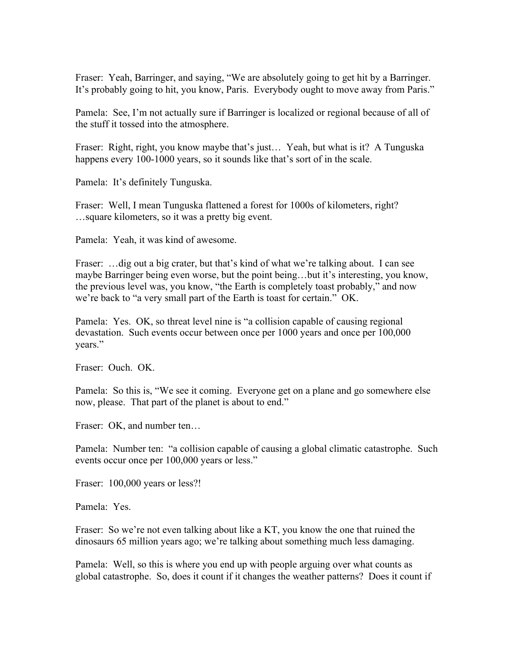Fraser: Yeah, Barringer, and saying, "We are absolutely going to get hit by a Barringer. It's probably going to hit, you know, Paris. Everybody ought to move away from Paris."

Pamela: See, I'm not actually sure if Barringer is localized or regional because of all of the stuff it tossed into the atmosphere.

Fraser: Right, right, you know maybe that's just… Yeah, but what is it? A Tunguska happens every 100-1000 years, so it sounds like that's sort of in the scale.

Pamela: It's definitely Tunguska.

Fraser: Well, I mean Tunguska flattened a forest for 1000s of kilometers, right? …square kilometers, so it was a pretty big event.

Pamela: Yeah, it was kind of awesome.

Fraser: ... dig out a big crater, but that's kind of what we're talking about. I can see maybe Barringer being even worse, but the point being…but it's interesting, you know, the previous level was, you know, "the Earth is completely toast probably," and now we're back to "a very small part of the Earth is toast for certain." OK.

Pamela: Yes. OK, so threat level nine is "a collision capable of causing regional devastation. Such events occur between once per 1000 years and once per 100,000 years."

Fraser: Ouch. OK.

Pamela: So this is, "We see it coming. Everyone get on a plane and go somewhere else now, please. That part of the planet is about to end."

Fraser: OK, and number ten…

Pamela: Number ten: "a collision capable of causing a global climatic catastrophe. Such events occur once per 100,000 years or less."

Fraser: 100,000 years or less?!

Pamela: Yes.

Fraser: So we're not even talking about like a KT, you know the one that ruined the dinosaurs 65 million years ago; we're talking about something much less damaging.

Pamela: Well, so this is where you end up with people arguing over what counts as global catastrophe. So, does it count if it changes the weather patterns? Does it count if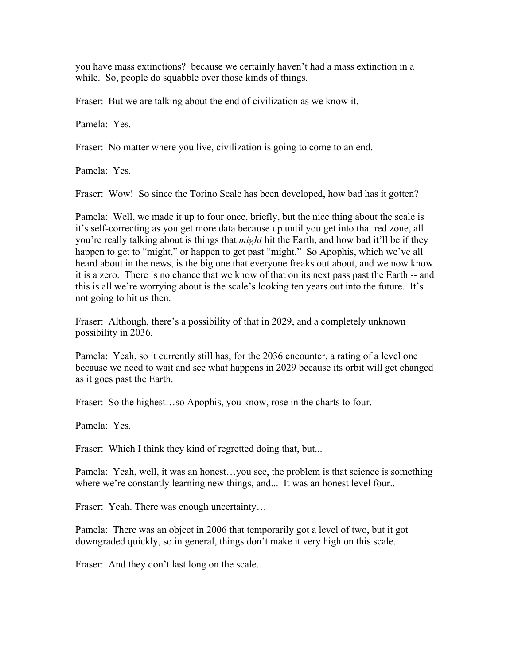you have mass extinctions? because we certainly haven't had a mass extinction in a while. So, people do squabble over those kinds of things.

Fraser: But we are talking about the end of civilization as we know it.

Pamela: Yes.

Fraser: No matter where you live, civilization is going to come to an end.

Pamela: Yes.

Fraser: Wow! So since the Torino Scale has been developed, how bad has it gotten?

Pamela: Well, we made it up to four once, briefly, but the nice thing about the scale is it's self-correcting as you get more data because up until you get into that red zone, all you're really talking about is things that *might* hit the Earth, and how bad it'll be if they happen to get to "might," or happen to get past "might." So Apophis, which we've all heard about in the news, is the big one that everyone freaks out about, and we now know it is a zero. There is no chance that we know of that on its next pass past the Earth -- and this is all we're worrying about is the scale's looking ten years out into the future. It's not going to hit us then.

Fraser: Although, there's a possibility of that in 2029, and a completely unknown possibility in 2036.

Pamela: Yeah, so it currently still has, for the 2036 encounter, a rating of a level one because we need to wait and see what happens in 2029 because its orbit will get changed as it goes past the Earth.

Fraser: So the highest…so Apophis, you know, rose in the charts to four.

Pamela: Yes.

Fraser: Which I think they kind of regretted doing that, but...

Pamela: Yeah, well, it was an honest…you see, the problem is that science is something where we're constantly learning new things, and... It was an honest level four...

Fraser: Yeah. There was enough uncertainty...

Pamela: There was an object in 2006 that temporarily got a level of two, but it got downgraded quickly, so in general, things don't make it very high on this scale.

Fraser: And they don't last long on the scale.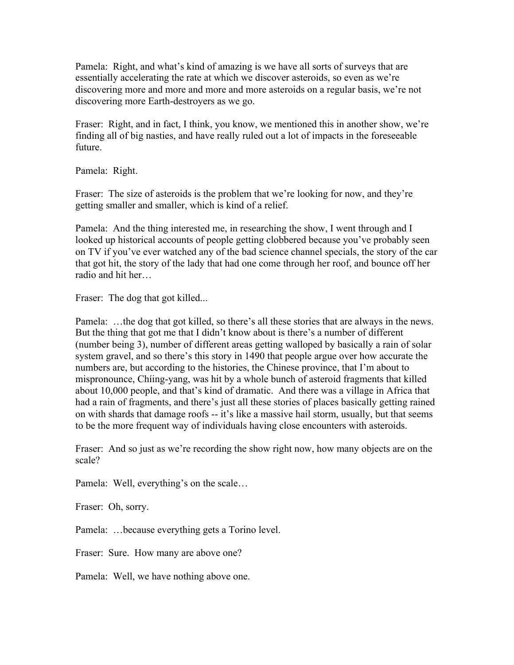Pamela: Right, and what's kind of amazing is we have all sorts of surveys that are essentially accelerating the rate at which we discover asteroids, so even as we're discovering more and more and more and more asteroids on a regular basis, we're not discovering more Earth-destroyers as we go.

Fraser: Right, and in fact, I think, you know, we mentioned this in another show, we're finding all of big nasties, and have really ruled out a lot of impacts in the foreseeable future.

Pamela: Right.

Fraser: The size of asteroids is the problem that we're looking for now, and they're getting smaller and smaller, which is kind of a relief.

Pamela: And the thing interested me, in researching the show, I went through and I looked up historical accounts of people getting clobbered because you've probably seen on TV if you've ever watched any of the bad science channel specials, the story of the car that got hit, the story of the lady that had one come through her roof, and bounce off her radio and hit her…

Fraser: The dog that got killed...

Pamela: …the dog that got killed, so there's all these stories that are always in the news. But the thing that got me that I didn't know about is there's a number of different (number being 3), number of different areas getting walloped by basically a rain of solar system gravel, and so there's this story in 1490 that people argue over how accurate the numbers are, but according to the histories, the Chinese province, that I'm about to mispronounce, Chíing-yang, was hit by a whole bunch of asteroid fragments that killed about 10,000 people, and that's kind of dramatic. And there was a village in Africa that had a rain of fragments, and there's just all these stories of places basically getting rained on with shards that damage roofs -- it's like a massive hail storm, usually, but that seems to be the more frequent way of individuals having close encounters with asteroids.

Fraser: And so just as we're recording the show right now, how many objects are on the scale?

Pamela: Well, everything's on the scale…

Fraser: Oh, sorry.

Pamela: …because everything gets a Torino level.

Fraser: Sure. How many are above one?

Pamela: Well, we have nothing above one.